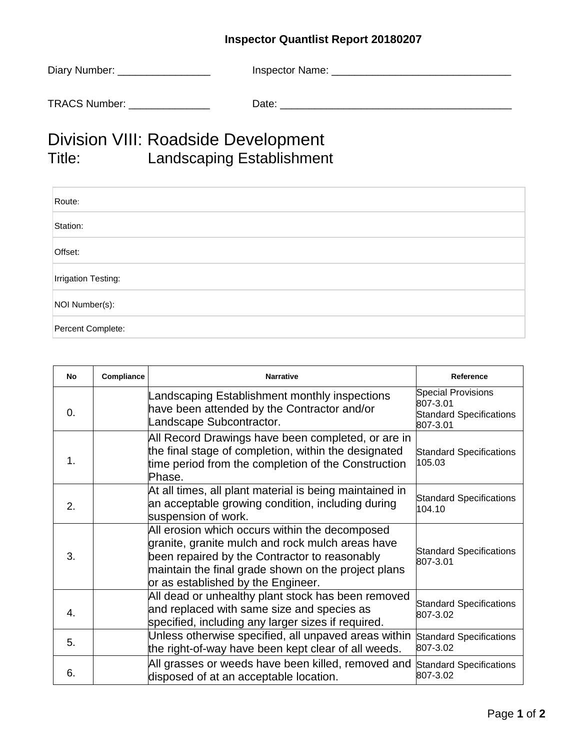## **Inspector Quantlist Report 20180207**

| Diary Number: _________________ | Inspector Name: |
|---------------------------------|-----------------|
| <b>TRACS Number:</b>            | Date:           |

## Division VIII: Roadside Development<br>Title: Landscaping Establishmen Landscaping Establishment

| Route:                     |
|----------------------------|
| Station:                   |
| Offset:                    |
| <b>Irrigation Testing:</b> |
| NOI Number(s):             |
| Percent Complete:          |

| <b>No</b> | Compliance | <b>Narrative</b>                                                                                                                                                                                                                                 | Reference                                                                           |
|-----------|------------|--------------------------------------------------------------------------------------------------------------------------------------------------------------------------------------------------------------------------------------------------|-------------------------------------------------------------------------------------|
| 0.        |            | Landscaping Establishment monthly inspections<br>have been attended by the Contractor and/or<br>Landscape Subcontractor.                                                                                                                         | <b>Special Provisions</b><br>807-3.01<br><b>Standard Specifications</b><br>807-3.01 |
| 1.        |            | All Record Drawings have been completed, or are in<br>the final stage of completion, within the designated<br>time period from the completion of the Construction<br>Phase.                                                                      | <b>Standard Specifications</b><br>105.03                                            |
| 2.        |            | At all times, all plant material is being maintained in<br>an acceptable growing condition, including during<br>suspension of work.                                                                                                              | <b>Standard Specifications</b><br>104.10                                            |
| 3.        |            | All erosion which occurs within the decomposed<br>granite, granite mulch and rock mulch areas have<br>been repaired by the Contractor to reasonably<br>maintain the final grade shown on the project plans<br>or as established by the Engineer. | <b>Standard Specifications</b><br>807-3.01                                          |
| 4.        |            | All dead or unhealthy plant stock has been removed<br>and replaced with same size and species as<br>specified, including any larger sizes if required.                                                                                           | <b>Standard Specifications</b><br>807-3.02                                          |
| 5.        |            | Unless otherwise specified, all unpaved areas within<br>the right-of-way have been kept clear of all weeds.                                                                                                                                      | <b>Standard Specifications</b><br>807-3.02                                          |
| 6.        |            | All grasses or weeds have been killed, removed and<br>disposed of at an acceptable location.                                                                                                                                                     | <b>Standard Specifications</b><br>807-3.02                                          |